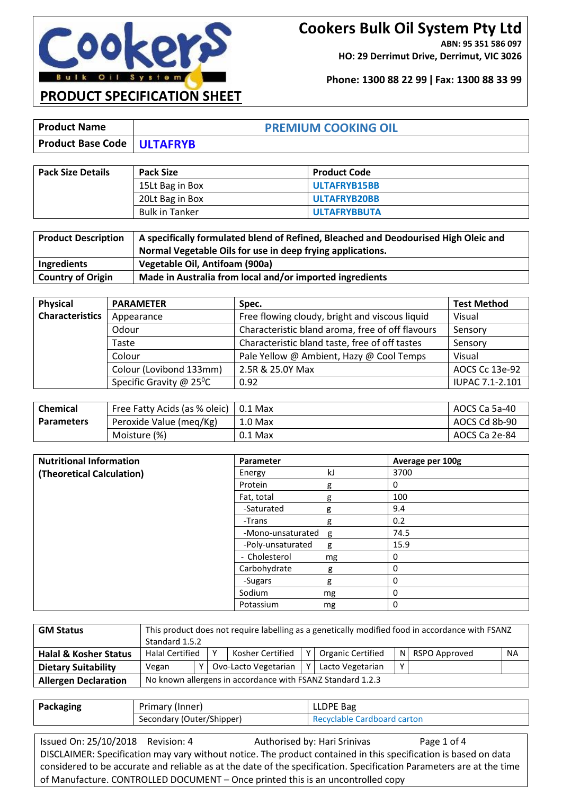

**ABN: 95 351 586 097 HO: 29 Derrimut Drive, Derrimut, VIC 3026**

**Phone: 1300 88 22 99 ǀ Fax: 1300 88 33 99**

| <b>Product Name</b>                 | <b>PREMIUM COOKING OIL</b> |
|-------------------------------------|----------------------------|
| <b>Product Base Code   ULTAFRYB</b> |                            |

| <b>Pack Size Details</b> | <b>Pack Size</b>      | <b>Product Code</b> |
|--------------------------|-----------------------|---------------------|
|                          | 15Lt Bag in Box       | ULTAFRYB15BB        |
|                          | 20Lt Bag in Box       | ULTAFRYB20BB        |
|                          | <b>Bulk in Tanker</b> | <b>ULTAFRYBBUTA</b> |

| <b>Product Description</b> | A specifically formulated blend of Refined, Bleached and Deodourised High Oleic and<br>Normal Vegetable Oils for use in deep frying applications. |
|----------------------------|---------------------------------------------------------------------------------------------------------------------------------------------------|
| Ingredients                | Vegetable Oil, Antifoam (900a)                                                                                                                    |
| <b>Country of Origin</b>   | Made in Australia from local and/or imported ingredients                                                                                          |

| Physical               | <b>PARAMETER</b>                       | Spec.                                            | <b>Test Method</b> |
|------------------------|----------------------------------------|--------------------------------------------------|--------------------|
| <b>Characteristics</b> | Appearance                             | Free flowing cloudy, bright and viscous liquid   | Visual             |
|                        | Odour                                  | Characteristic bland aroma, free of off flavours | Sensory            |
|                        | Taste                                  | Characteristic bland taste, free of off tastes   | Sensory            |
|                        | Colour                                 | Pale Yellow @ Ambient, Hazy @ Cool Temps         | Visual             |
|                        | Colour (Lovibond 133mm)                | 2.5R & 25.0Y Max                                 | AOCS Cc 13e-92     |
|                        | Specific Gravity $@$ 25 <sup>o</sup> C | 0.92                                             | IUPAC 7.1-2.101    |

| <b>Chemical</b>   | Free Fatty Acids (as % oleic) $\vert$ 0.1 Max |                    | AOCS Ca 5a-40 |
|-------------------|-----------------------------------------------|--------------------|---------------|
| <b>Parameters</b> | Peroxide Value (meg/Kg)                       | 1.0 <sub>Max</sub> | AOCS Cd 8b-90 |
|                   | Moisture (%)                                  | 0.1 Max            | AOCS Ca 2e-84 |

| <b>Nutritional Information</b> | Parameter         |    | Average per 100g |
|--------------------------------|-------------------|----|------------------|
| (Theoretical Calculation)      | Energy            | kJ | 3700             |
|                                | Protein           | g  | 0                |
|                                | Fat, total        | g  | 100              |
|                                | -Saturated        | g  | 9.4              |
|                                | -Trans            | g  | 0.2              |
|                                | -Mono-unsaturated | g  | 74.5             |
|                                | -Poly-unsaturated | g  | 15.9             |
|                                | - Cholesterol     | mg | 0                |
|                                | Carbohydrate      | g  | 0                |
|                                | -Sugars           | g  | 0                |
|                                | Sodium            | mg | 0                |
|                                | Potassium         | mg | 0                |

| <b>GM Status</b>                 | This product does not require labelling as a genetically modified food in accordance with FSANZ |                                                                                             |  |  |                  |  |           |  |
|----------------------------------|-------------------------------------------------------------------------------------------------|---------------------------------------------------------------------------------------------|--|--|------------------|--|-----------|--|
|                                  |                                                                                                 | Standard 1.5.2                                                                              |  |  |                  |  |           |  |
| <b>Halal &amp; Kosher Status</b> |                                                                                                 | <b>Halal Certified</b><br>Kosher Certified<br><b>Organic Certified</b><br>N   RSPO Approved |  |  |                  |  | <b>NA</b> |  |
| <b>Dietary Suitability</b>       | Ovo-Lacto Vegetarian<br>Vegan                                                                   |                                                                                             |  |  | Lacto Vegetarian |  |           |  |
| <b>Allergen Declaration</b>      |                                                                                                 | No known allergens in accordance with FSANZ Standard 1.2.3                                  |  |  |                  |  |           |  |

| Packaging | Primary (Inner)           | LLDPE Bag                   |  |  |
|-----------|---------------------------|-----------------------------|--|--|
|           | Secondary (Outer/Shipper) | Recyclable Cardboard carton |  |  |

Issued On: 25/10/2018 Revision: 4 Authorised by: Hari Srinivas Page 1 of 4 DISCLAIMER: Specification may vary without notice. The product contained in this specification is based on data considered to be accurate and reliable as at the date of the specification. Specification Parameters are at the time of Manufacture. CONTROLLED DOCUMENT – Once printed this is an uncontrolled copy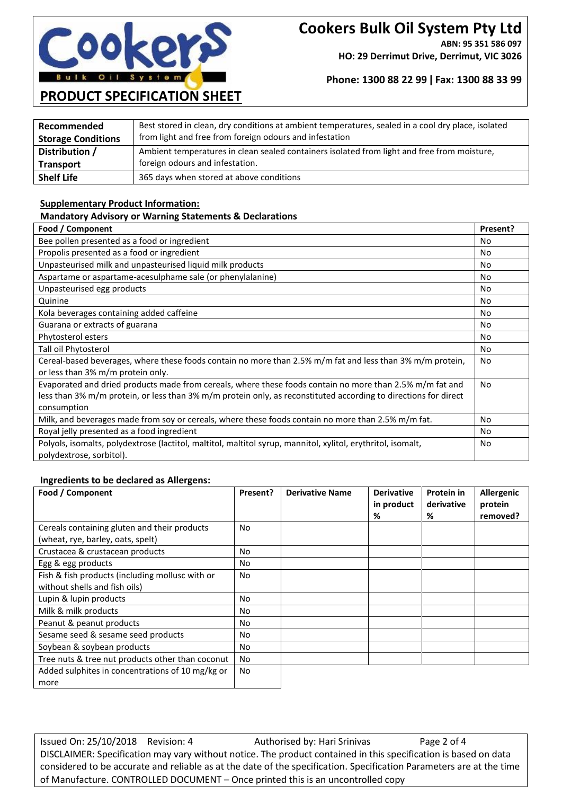

**ABN: 95 351 586 097 HO: 29 Derrimut Drive, Derrimut, VIC 3026**

### **Phone: 1300 88 22 99 ǀ Fax: 1300 88 33 99**

### **PRODUCT SPECIFICATION SHEET**

| Recommended<br><b>Storage Conditions</b> | Best stored in clean, dry conditions at ambient temperatures, sealed in a cool dry place, isolated<br>from light and free from foreign odours and infestation |
|------------------------------------------|---------------------------------------------------------------------------------------------------------------------------------------------------------------|
| Distribution /                           | Ambient temperatures in clean sealed containers isolated from light and free from moisture,                                                                   |
| Transport                                | foreign odours and infestation.                                                                                                                               |
| <b>Shelf Life</b>                        | 365 days when stored at above conditions                                                                                                                      |

### **Supplementary Product Information:**

### **Mandatory Advisory or Warning Statements & Declarations**

| Food / Component                                                                                                | Present? |
|-----------------------------------------------------------------------------------------------------------------|----------|
| Bee pollen presented as a food or ingredient                                                                    | No       |
| Propolis presented as a food or ingredient                                                                      | No       |
| Unpasteurised milk and unpasteurised liquid milk products                                                       | No       |
| Aspartame or aspartame-acesulphame sale (or phenylalanine)                                                      | No       |
| Unpasteurised egg products                                                                                      | No       |
| Quinine                                                                                                         | No       |
| Kola beverages containing added caffeine                                                                        | No       |
| Guarana or extracts of guarana                                                                                  | No       |
| Phytosterol esters                                                                                              | No       |
| Tall oil Phytosterol                                                                                            | No       |
| Cereal-based beverages, where these foods contain no more than 2.5% m/m fat and less than 3% m/m protein,       | No       |
| or less than 3% m/m protein only.                                                                               |          |
| Evaporated and dried products made from cereals, where these foods contain no more than 2.5% m/m fat and        | No       |
| less than 3% m/m protein, or less than 3% m/m protein only, as reconstituted according to directions for direct |          |
| consumption                                                                                                     |          |
| Milk, and beverages made from soy or cereals, where these foods contain no more than 2.5% m/m fat.              | No       |
| Royal jelly presented as a food ingredient                                                                      | No       |
| Polyols, isomalts, polydextrose (lactitol, maltitol, maltitol syrup, mannitol, xylitol, erythritol, isomalt,    | No       |
| polydextrose, sorbitol).                                                                                        |          |

### **Ingredients to be declared as Allergens:**

| Food / Component                                                                  | Present?  | <b>Derivative Name</b> | <b>Derivative</b><br>in product<br>% | Protein in<br>derivative<br>% | Allergenic<br>protein<br>removed? |
|-----------------------------------------------------------------------------------|-----------|------------------------|--------------------------------------|-------------------------------|-----------------------------------|
| Cereals containing gluten and their products<br>(wheat, rye, barley, oats, spelt) | <b>No</b> |                        |                                      |                               |                                   |
| Crustacea & crustacean products                                                   | No        |                        |                                      |                               |                                   |
| Egg & egg products                                                                | No        |                        |                                      |                               |                                   |
| Fish & fish products (including mollusc with or<br>without shells and fish oils)  | <b>No</b> |                        |                                      |                               |                                   |
| Lupin & lupin products                                                            | No        |                        |                                      |                               |                                   |
| Milk & milk products                                                              | No.       |                        |                                      |                               |                                   |
| Peanut & peanut products                                                          | No        |                        |                                      |                               |                                   |
| Sesame seed & sesame seed products                                                | No.       |                        |                                      |                               |                                   |
| Soybean & soybean products                                                        | No        |                        |                                      |                               |                                   |
| Tree nuts & tree nut products other than coconut                                  | <b>No</b> |                        |                                      |                               |                                   |
| Added sulphites in concentrations of 10 mg/kg or<br>more                          | No        |                        |                                      |                               |                                   |

Issued On: 25/10/2018 Revision: 4 Authorised by: Hari Srinivas Page 2 of 4 DISCLAIMER: Specification may vary without notice. The product contained in this specification is based on data considered to be accurate and reliable as at the date of the specification. Specification Parameters are at the time of Manufacture. CONTROLLED DOCUMENT – Once printed this is an uncontrolled copy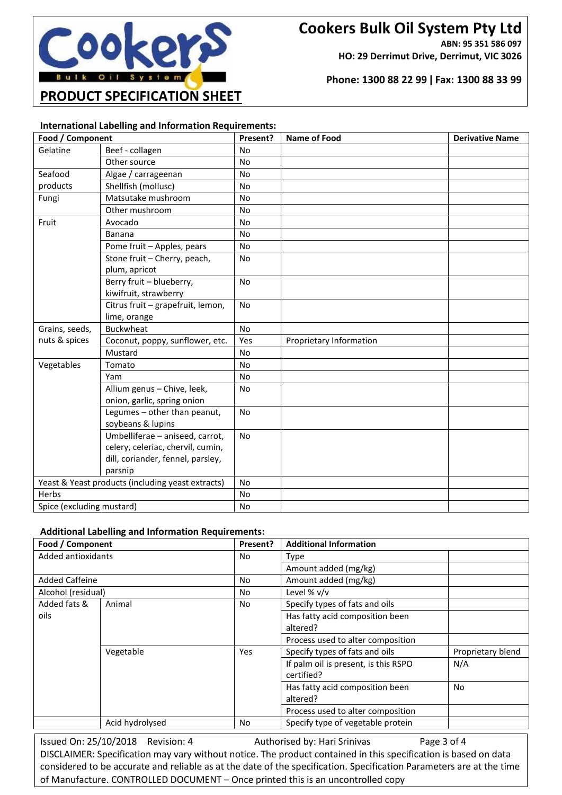

**ABN: 95 351 586 097**

**HO: 29 Derrimut Drive, Derrimut, VIC 3026**

### **Phone: 1300 88 22 99 ǀ Fax: 1300 88 33 99**

#### **International Labelling and Information Requirements:**

| Food / Component          |                                                   | Present?  | <b>Name of Food</b>     | <b>Derivative Name</b> |
|---------------------------|---------------------------------------------------|-----------|-------------------------|------------------------|
| Gelatine                  | Beef - collagen                                   | No        |                         |                        |
|                           | Other source                                      | <b>No</b> |                         |                        |
| Seafood                   | Algae / carrageenan                               | <b>No</b> |                         |                        |
| products                  | Shellfish (mollusc)                               | <b>No</b> |                         |                        |
| Fungi                     | Matsutake mushroom                                | No        |                         |                        |
|                           | Other mushroom                                    | <b>No</b> |                         |                        |
| Fruit                     | Avocado                                           | No        |                         |                        |
|                           | Banana                                            | <b>No</b> |                         |                        |
|                           | Pome fruit - Apples, pears                        | <b>No</b> |                         |                        |
|                           | Stone fruit - Cherry, peach,                      | <b>No</b> |                         |                        |
|                           | plum, apricot                                     |           |                         |                        |
|                           | Berry fruit - blueberry,                          | <b>No</b> |                         |                        |
|                           | kiwifruit, strawberry                             |           |                         |                        |
|                           | Citrus fruit - grapefruit, lemon,                 | <b>No</b> |                         |                        |
|                           | lime, orange                                      |           |                         |                        |
| Grains, seeds,            | <b>Buckwheat</b>                                  | No        |                         |                        |
| nuts & spices             | Coconut, poppy, sunflower, etc.                   | Yes       | Proprietary Information |                        |
|                           | Mustard                                           | <b>No</b> |                         |                        |
| Vegetables                | Tomato                                            | <b>No</b> |                         |                        |
|                           | Yam                                               | No        |                         |                        |
|                           | Allium genus - Chive, leek,                       | No        |                         |                        |
|                           | onion, garlic, spring onion                       |           |                         |                        |
|                           | Legumes - other than peanut,                      | <b>No</b> |                         |                        |
|                           | soybeans & lupins                                 |           |                         |                        |
|                           | Umbelliferae - aniseed, carrot,                   | <b>No</b> |                         |                        |
|                           | celery, celeriac, chervil, cumin,                 |           |                         |                        |
|                           | dill, coriander, fennel, parsley,                 |           |                         |                        |
|                           | parsnip                                           |           |                         |                        |
|                           | Yeast & Yeast products (including yeast extracts) | <b>No</b> |                         |                        |
| Herbs                     |                                                   | No        |                         |                        |
| Spice (excluding mustard) |                                                   | <b>No</b> |                         |                        |

### **Additional Labelling and Information Requirements:**

| Food / Component      |                 | Present? | <b>Additional Information</b>        |                   |
|-----------------------|-----------------|----------|--------------------------------------|-------------------|
| Added antioxidants    |                 | No       | Type                                 |                   |
|                       |                 |          | Amount added (mg/kg)                 |                   |
| <b>Added Caffeine</b> |                 | No       | Amount added (mg/kg)                 |                   |
| Alcohol (residual)    |                 | No       | Level % v/v                          |                   |
| Added fats &          | Animal          | No       | Specify types of fats and oils       |                   |
| oils                  |                 |          | Has fatty acid composition been      |                   |
|                       |                 |          | altered?                             |                   |
|                       |                 |          | Process used to alter composition    |                   |
|                       | Vegetable       | Yes      | Specify types of fats and oils       | Proprietary blend |
|                       |                 |          | If palm oil is present, is this RSPO | N/A               |
|                       |                 |          | certified?                           |                   |
|                       |                 |          | Has fatty acid composition been      | No.               |
|                       |                 |          | altered?                             |                   |
|                       |                 |          | Process used to alter composition    |                   |
|                       | Acid hydrolysed | No       | Specify type of vegetable protein    |                   |

Issued On: 25/10/2018 Revision: 4 Authorised by: Hari Srinivas Page 3 of 4 DISCLAIMER: Specification may vary without notice. The product contained in this specification is based on data considered to be accurate and reliable as at the date of the specification. Specification Parameters are at the time of Manufacture. CONTROLLED DOCUMENT – Once printed this is an uncontrolled copy